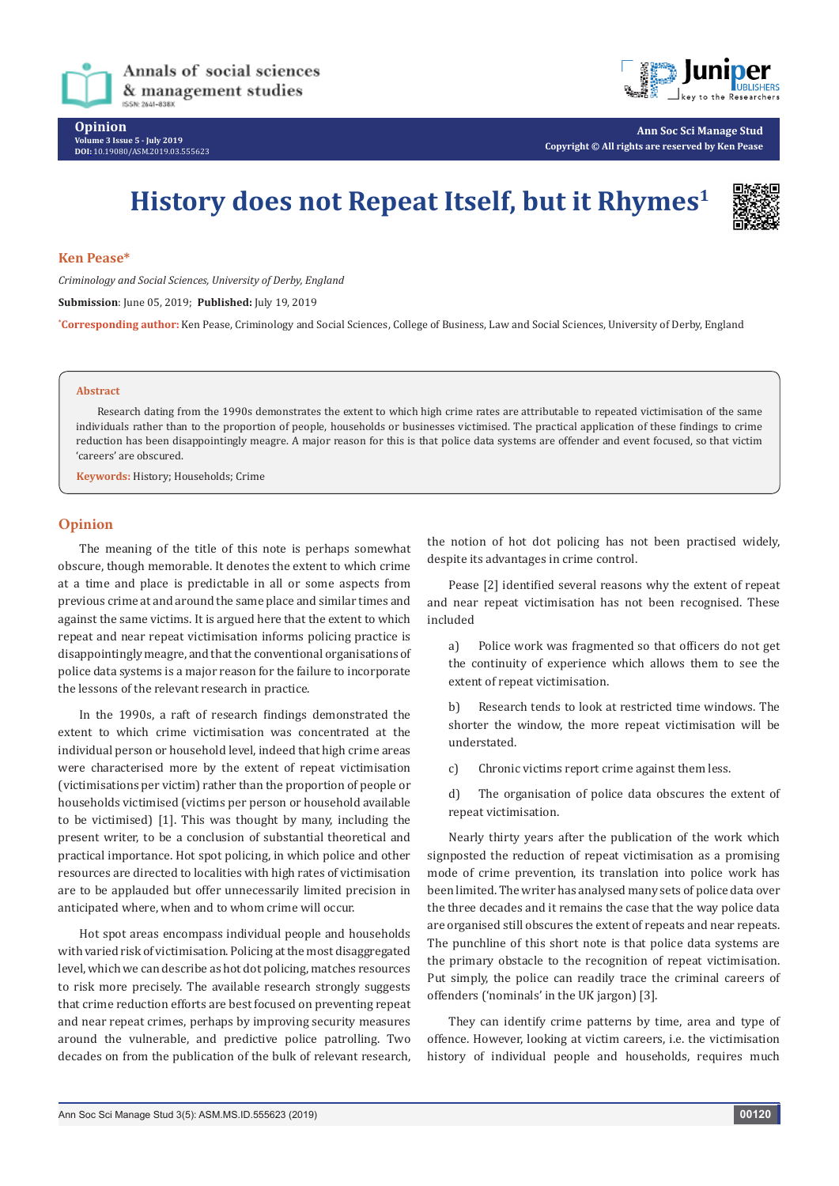



**Ann Soc Sci Manage Stud Copyright © All rights are reserved by Ken Pease**

# **History does not Repeat Itself, but it Rhymes1**



## **Ken Pease\***

*Criminology and Social Sciences, University of Derby, England*

**Submission**: June 05, 2019; **Published:** July 19, 2019

**\* Corresponding author:** Ken Pease, Criminology and Social Sciences, College of Business, Law and Social Sciences, University of Derby, England

#### **Abstract**

Research dating from the 1990s demonstrates the extent to which high crime rates are attributable to repeated victimisation of the same individuals rather than to the proportion of people, households or businesses victimised. The practical application of these findings to crime reduction has been disappointingly meagre. A major reason for this is that police data systems are offender and event focused, so that victim 'careers' are obscured.

**Keywords:** History; Households; Crime

## **Opinion**

The meaning of the title of this note is perhaps somewhat obscure, though memorable. It denotes the extent to which crime at a time and place is predictable in all or some aspects from previous crime at and around the same place and similar times and against the same victims. It is argued here that the extent to which repeat and near repeat victimisation informs policing practice is disappointingly meagre, and that the conventional organisations of police data systems is a major reason for the failure to incorporate the lessons of the relevant research in practice.

In the 1990s, a raft of research findings demonstrated the extent to which crime victimisation was concentrated at the individual person or household level, indeed that high crime areas were characterised more by the extent of repeat victimisation (victimisations per victim) rather than the proportion of people or households victimised (victims per person or household available to be victimised) [1]. This was thought by many, including the present writer, to be a conclusion of substantial theoretical and practical importance. Hot spot policing, in which police and other resources are directed to localities with high rates of victimisation are to be applauded but offer unnecessarily limited precision in anticipated where, when and to whom crime will occur.

Hot spot areas encompass individual people and households with varied risk of victimisation. Policing at the most disaggregated level, which we can describe as hot dot policing, matches resources to risk more precisely. The available research strongly suggests that crime reduction efforts are best focused on preventing repeat and near repeat crimes, perhaps by improving security measures around the vulnerable, and predictive police patrolling. Two decades on from the publication of the bulk of relevant research,

the notion of hot dot policing has not been practised widely, despite its advantages in crime control.

Pease [2] identified several reasons why the extent of repeat and near repeat victimisation has not been recognised. These included

a) Police work was fragmented so that officers do not get the continuity of experience which allows them to see the extent of repeat victimisation.

b) Research tends to look at restricted time windows. The shorter the window, the more repeat victimisation will be understated.

c) Chronic victims report crime against them less.

d) The organisation of police data obscures the extent of repeat victimisation.

Nearly thirty years after the publication of the work which signposted the reduction of repeat victimisation as a promising mode of crime prevention, its translation into police work has been limited. The writer has analysed many sets of police data over the three decades and it remains the case that the way police data are organised still obscures the extent of repeats and near repeats. The punchline of this short note is that police data systems are the primary obstacle to the recognition of repeat victimisation. Put simply, the police can readily trace the criminal careers of offenders ('nominals' in the UK jargon) [3].

They can identify crime patterns by time, area and type of offence. However, looking at victim careers, i.e. the victimisation history of individual people and households, requires much